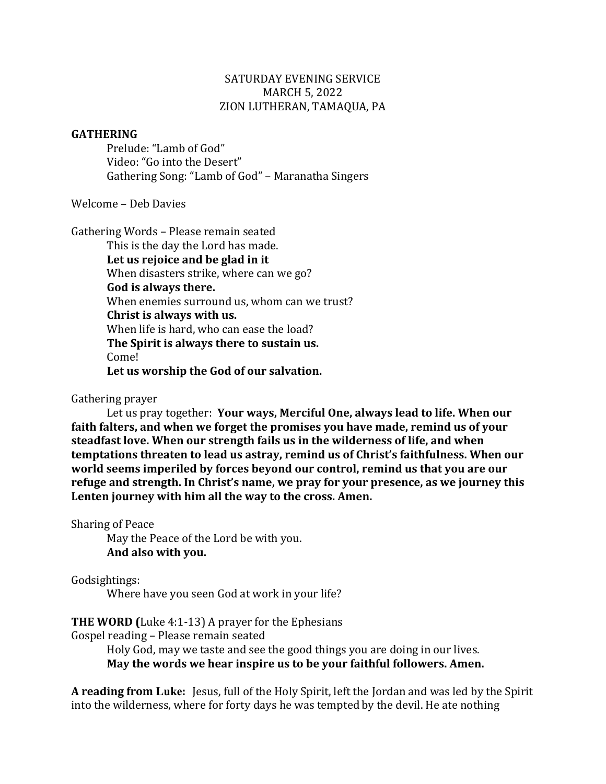# SATURDAY EVENING SERVICE MARCH 5, 2022 ZION LUTHERAN, TAMAQUA, PA

## **GATHERING**

Prelude: "Lamb of God" Video: "Go into the Desert" Gathering Song: "Lamb of God" - Maranatha Singers

Welcome – Deb Davies

Gathering Words - Please remain seated This is the day the Lord has made. Let us rejoice and be glad in it When disasters strike, where can we go? **God is always there.** When enemies surround us, whom can we trust? **Christ is always with us.** When life is hard, who can ease the load? **The Spirit is always there to sustain us.** Come! **Let us worship the God of our salvation.**

Gathering prayer

Let us pray together: Your ways, Merciful One, always lead to life. When our faith falters, and when we forget the promises you have made, remind us of your steadfast love. When our strength fails us in the wilderness of life, and when **temptations threaten to lead us astray, remind us of Christ's faithfulness. When our** world seems imperiled by forces beyond our control, remind us that you are our refuge and strength. In Christ's name, we pray for your presence, as we journey this Lenten journey with him all the way to the cross. Amen.

Sharing of Peace May the Peace of the Lord be with you. And also with you.

Godsightings:

Where have you seen God at work in your life?

**THE WORD (Luke 4:1-13) A prayer for the Ephesians** 

Gospel reading - Please remain seated

Holy God, may we taste and see the good things you are doing in our lives. May the words we hear inspire us to be your faithful followers. Amen.

**A reading from Luke:** Jesus, full of the Holy Spirit, left the Jordan and was led by the Spirit into the wilderness, where for forty days he was tempted by the devil. He ate nothing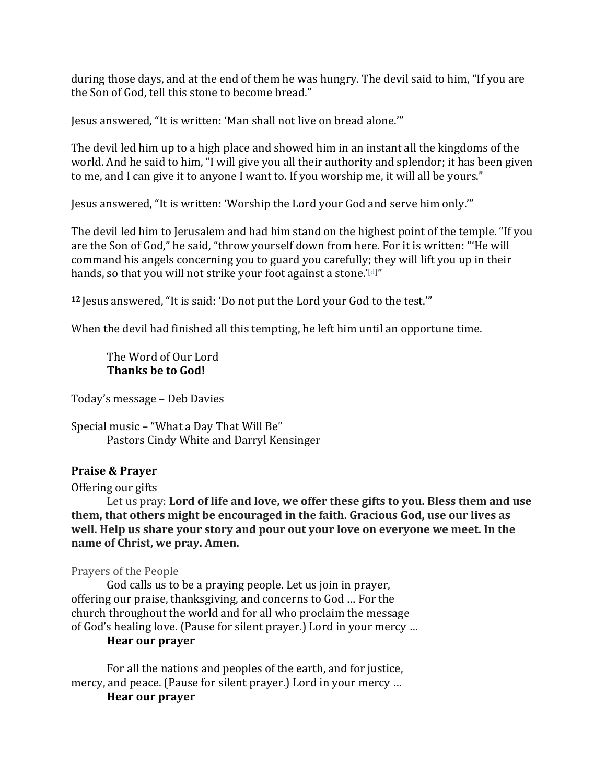during those days, and at the end of them he was hungry. The devil said to him, "If you are the Son of God, tell this stone to become bread."

Jesus answered, "It is written: 'Man shall not live on bread alone."

The devil led him up to a high place and showed him in an instant all the kingdoms of the world. And he said to him, "I will give you all their authority and splendor; it has been given to me, and I can give it to anyone I want to. If you worship me, it will all be yours."

Jesus answered, "It is written: 'Worship the Lord your God and serve him only.'"

The devil led him to Jerusalem and had him stand on the highest point of the temple. "If you are the Son of God," he said, "throw yourself down from here. For it is written: "'He will command his angels concerning you to guard you carefully; they will lift you up in their hands, so that you will not strike your foot against a stone.' $\mathbb{d}$ ]"

<sup>12</sup> Jesus answered, "It is said: 'Do not put the Lord your God to the test.'"

When the devil had finished all this tempting, he left him until an opportune time.

The Word of Our Lord **Thanks be to God!** 

Today's message - Deb Davies

Special music - "What a Day That Will Be" Pastors Cindy White and Darryl Kensinger

### **Praise & Prayer**

Offering our gifts

Let us pray: Lord of life and love, we offer these gifts to you. Bless them and use **them, that others might be encouraged in the faith. Gracious God, use our lives as** well. Help us share your story and pour out your love on everyone we meet. In the **name** of Christ, we pray. Amen.

Prayers of the People

God calls us to be a praying people. Let us join in prayer, offering our praise, thanksgiving, and concerns to God ... For the church throughout the world and for all who proclaim the message of God's healing love. (Pause for silent prayer.) Lord in your mercy ...

## **Hear our prayer**

For all the nations and peoples of the earth, and for justice, mercy, and peace. (Pause for silent prayer.) Lord in your mercy ... **Hear our prayer**